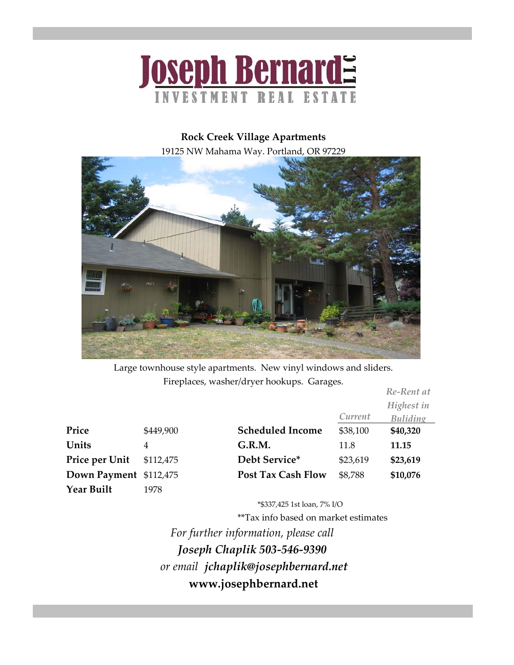

## **Rock Creek Village Apartments**

19125 NW Mahama Way. Portland, OR 97229



Large townhouse style apartments. New vinyl windows and sliders. Fireplaces, washer/dryer hookups. Garages.

|                        |           |                           |          | Re-Rent at      |
|------------------------|-----------|---------------------------|----------|-----------------|
|                        |           |                           |          | Highest in      |
|                        |           |                           | Current  | <b>Buliding</b> |
| Price                  | \$449,900 | <b>Scheduled Income</b>   | \$38,100 | \$40,320        |
| Units                  | 4         | G.R.M.                    | 11.8     | 11.15           |
| Price per Unit         | \$112,475 | Debt Service*             | \$23,619 | \$23,619        |
| Down Payment \$112,475 |           | <b>Post Tax Cash Flow</b> | \$8,788  | \$10,076        |
| <b>Year Built</b>      | 1978      |                           |          |                 |

\*\$337,425 1st loan, 7% I/O

\*\*Tax info based on market estimates

*or email jchaplik@josephbernard.net Joseph Chaplik 503‐546‐9390* **www.josephbernard.net** *For further information, please call*